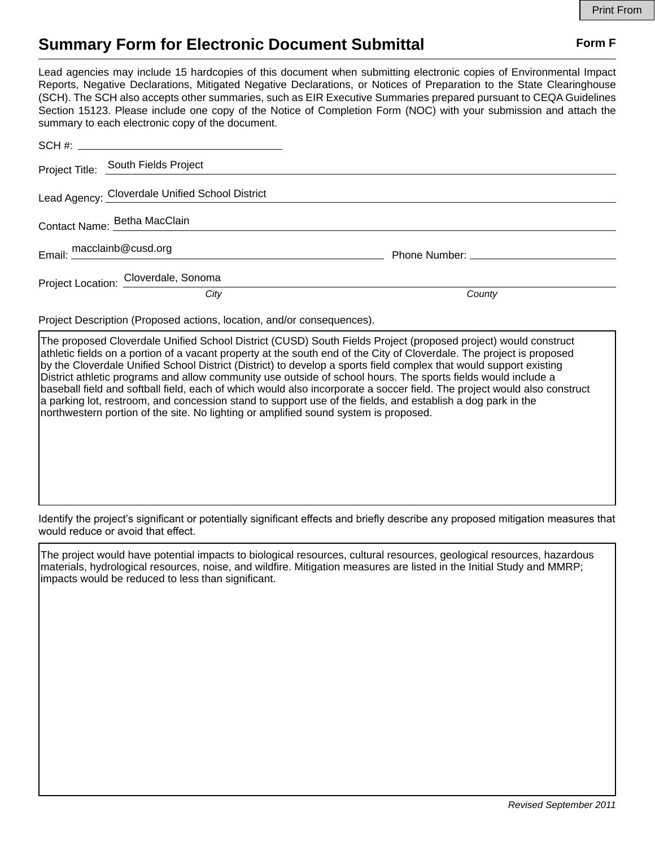## **Summary Form for Electronic Document Submittal Form F Form F**

Lead agencies may include 15 hardcopies of this document when submitting electronic copies of Environmental Impact Reports, Negative Declarations, Mitigated Negative Declarations, or Notices of Preparation to the State Clearinghouse (SCH). The SCH also accepts other summaries, such as EIR Executive Summaries prepared pursuant to CEQA Guidelines Section 15123. Please include one copy of the Notice of Completion Form (NOC) with your submission and attach the summary to each electronic copy of the document.

| Project Title: South Fields Project             |        |
|-------------------------------------------------|--------|
| Lead Agency: Cloverdale Unified School District |        |
| Contact Name: Betha MacClain                    |        |
| Email: macclainb@cusd.org                       |        |
| Project Location: Cloverdale, Sonoma            |        |
| City                                            | County |

Project Description (Proposed actions, location, and/or consequences).

The proposed Cloverdale Unified School District (CUSD) South Fields Project (proposed project) would construct athletic fields on a portion of a vacant property at the south end of the City of Cloverdale. The project is proposed by the Cloverdale Unified School District (District) to develop a sports field complex that would support existing District athletic programs and allow community use outside of school hours. The sports fields would include a baseball field and softball field, each of which would also incorporate a soccer field. The project would also construct a parking lot, restroom, and concession stand to support use of the fields, and establish a dog park in the northwestern portion of the site. No lighting or amplified sound system is proposed.

Identify the project's significant or potentially significant effects and briefly describe any proposed mitigation measures that would reduce or avoid that effect.

The project would have potential impacts to biological resources, cultural resources, geological resources, hazardous materials, hydrological resources, noise, and wildfire. Mitigation measures are listed in the Initial Study and MMRP; impacts would be reduced to less than significant.